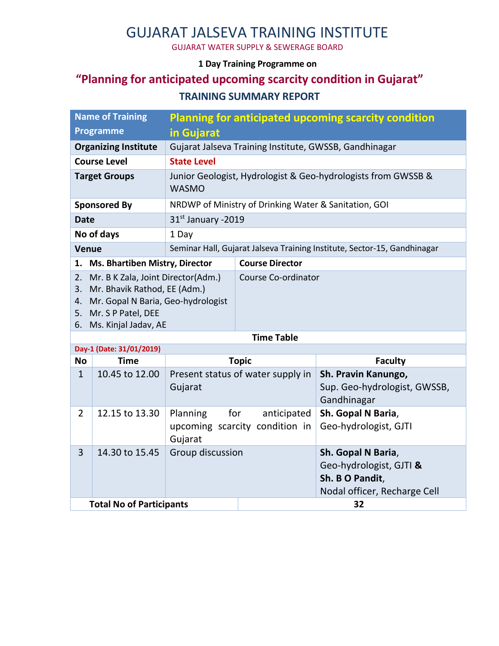# GUJARAT JALSEVA TRAINING INSTITUTE

GUJARAT WATER SUPPLY & SEWERAGE BOARD

#### **1 Day Training Programme on**

### **"Planning for anticipated upcoming scarcity condition in Gujarat" TRAINING SUMMARY REPORT**

| <b>Name of Training</b>                                                                                                                                                              |                                                        | <b>Planning for anticipated upcoming scarcity condition</b>              |  |  |  |  |
|--------------------------------------------------------------------------------------------------------------------------------------------------------------------------------------|--------------------------------------------------------|--------------------------------------------------------------------------|--|--|--|--|
| <b>Programme</b>                                                                                                                                                                     | in Gujarat                                             |                                                                          |  |  |  |  |
| <b>Organizing Institute</b>                                                                                                                                                          | Gujarat Jalseva Training Institute, GWSSB, Gandhinagar |                                                                          |  |  |  |  |
| <b>Course Level</b>                                                                                                                                                                  | <b>State Level</b>                                     |                                                                          |  |  |  |  |
| <b>Target Groups</b><br><b>WASMO</b>                                                                                                                                                 |                                                        | Junior Geologist, Hydrologist & Geo-hydrologists from GWSSB &            |  |  |  |  |
| <b>Sponsored By</b>                                                                                                                                                                  |                                                        | NRDWP of Ministry of Drinking Water & Sanitation, GOI                    |  |  |  |  |
| $31st$ January -2019<br>Date                                                                                                                                                         |                                                        |                                                                          |  |  |  |  |
| No of days<br>1 Day                                                                                                                                                                  |                                                        |                                                                          |  |  |  |  |
| <b>Venue</b>                                                                                                                                                                         |                                                        | Seminar Hall, Gujarat Jalseva Training Institute, Sector-15, Gandhinagar |  |  |  |  |
| 1. Ms. Bhartiben Mistry, Director                                                                                                                                                    |                                                        | <b>Course Director</b>                                                   |  |  |  |  |
| 2.<br>Mr. B K Zala, Joint Director(Adm.)<br>Mr. Bhavik Rathod, EE (Adm.)<br>3.<br>Mr. Gopal N Baria, Geo-hydrologist<br>4.<br>Mr. S P Patel, DEE<br>5.<br>Ms. Kinjal Jadav, AE<br>6. |                                                        | Course Co-ordinator                                                      |  |  |  |  |
| Time Table                                                                                                                                                                           |                                                        |                                                                          |  |  |  |  |

| Day-1 (Date: 31/01/2019)        |                |                            |                                               |                                                                                                  |  |  |  |  |  |
|---------------------------------|----------------|----------------------------|-----------------------------------------------|--------------------------------------------------------------------------------------------------|--|--|--|--|--|
| <b>No</b>                       | <b>Time</b>    | <b>Topic</b>               |                                               | <b>Faculty</b>                                                                                   |  |  |  |  |  |
| $\mathbf{1}$                    | 10.45 to 12.00 | Gujarat                    | Present status of water supply in             | Sh. Pravin Kanungo,<br>Sup. Geo-hydrologist, GWSSB,<br>Gandhinagar                               |  |  |  |  |  |
| $\overline{2}$                  | 12.15 to 13.30 | Planning<br>for<br>Gujarat | anticipated<br>upcoming scarcity condition in | Sh. Gopal N Baria,<br>Geo-hydrologist, GJTI                                                      |  |  |  |  |  |
| 3                               | 14.30 to 15.45 | Group discussion           |                                               | Sh. Gopal N Baria,<br>Geo-hydrologist, GJTI &<br>Sh. B O Pandit,<br>Nodal officer, Recharge Cell |  |  |  |  |  |
| <b>Total No of Participants</b> |                |                            |                                               | 32                                                                                               |  |  |  |  |  |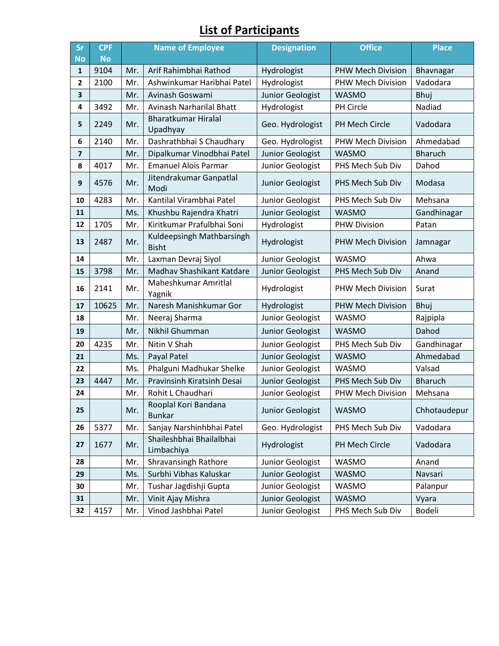## **List of Participants**

| <b>Sr</b>         | <b>CPF</b>        | <b>Name of Employee</b> |                                           | <b>Designation</b>         | <b>Office</b>            | <b>Place</b>          |
|-------------------|-------------------|-------------------------|-------------------------------------------|----------------------------|--------------------------|-----------------------|
| <b>No</b>         | <b>No</b><br>9104 | Mr.                     | Arif Rahimbhai Rathod                     |                            | <b>PHW Mech Division</b> |                       |
| 1<br>$\mathbf{2}$ | 2100              | Mr.                     | Ashwinkumar Haribhai Patel                | Hydrologist<br>Hydrologist | PHW Mech Division        | Bhavnagar<br>Vadodara |
| 3                 |                   | Mr.                     | Avinash Goswami                           | <b>Junior Geologist</b>    | <b>WASMO</b>             | Bhuj                  |
| 4                 | 3492              | Mr.                     | Avinash Narharilal Bhatt                  | Hydrologist                | PH Circle                | Nadiad                |
|                   |                   |                         | <b>Bharatkumar Hiralal</b>                |                            |                          |                       |
| 5                 | 2249              | Mr.                     | Upadhyay                                  | Geo. Hydrologist           | PH Mech Circle           | Vadodara              |
| 6                 | 2140              | Mr.                     | Dashrathbhai S Chaudhary                  | Geo. Hydrologist           | PHW Mech Division        | Ahmedabad             |
| $\overline{7}$    |                   | Mr.                     | Dipalkumar Vinodbhai Patel                | Junior Geologist           | <b>WASMO</b>             | <b>Bharuch</b>        |
| 8                 | 4017              | Mr.                     | <b>Emanuel Alois Parmar</b>               | Junior Geologist           | PHS Mech Sub Div         | Dahod                 |
| 9                 | 4576              | Mr.                     | Jitendrakumar Ganpatlal<br>Modi           | Junior Geologist           | PHS Mech Sub Div         | Modasa                |
| 10                | 4283              | Mr.                     | Kantilal Virambhai Patel                  | Junior Geologist           | PHS Mech Sub Div         | Mehsana               |
| 11                |                   | Ms.                     | Khushbu Rajendra Khatri                   | Junior Geologist           | <b>WASMO</b>             | Gandhinagar           |
| 12                | 1705              | Mr.                     | Kiritkumar Prafulbhai Soni                | Hydrologist                | <b>PHW Division</b>      | Patan                 |
| 13                | 2487              | Mr.                     | Kuldeepsingh Mathbarsingh<br><b>Bisht</b> | Hydrologist                | <b>PHW Mech Division</b> | Jamnagar              |
| 14                |                   | Mr.                     | Laxman Devraj Siyol                       | Junior Geologist           | <b>WASMO</b>             | Ahwa                  |
| 15                | 3798              | Mr.                     | Madhav Shashikant Katdare                 | Junior Geologist           | PHS Mech Sub Div         | Anand                 |
| 16                | 2141              | Mr.                     | Maheshkumar Amritlal<br>Yagnik            | Hydrologist                | PHW Mech Division        | Surat                 |
| 17                | 10625             | Mr.                     | Naresh Manishkumar Gor                    | Hydrologist                | <b>PHW Mech Division</b> | Bhuj                  |
| 18                |                   | Mr.                     | Neeraj Sharma                             | Junior Geologist           | <b>WASMO</b>             | Rajpipla              |
| 19                |                   | Mr.                     | Nikhil Ghumman                            | Junior Geologist           | <b>WASMO</b>             | Dahod                 |
| 20                | 4235              | Mr.                     | Nitin V Shah                              | Junior Geologist           | PHS Mech Sub Div         | Gandhinagar           |
| 21                |                   | Ms.                     | Payal Patel                               | Junior Geologist           | <b>WASMO</b>             | Ahmedabad             |
| 22                |                   | Ms.                     | Phalguni Madhukar Shelke                  | Junior Geologist           | <b>WASMO</b>             | Valsad                |
| 23                | 4447              | Mr.                     | Pravinsinh Kiratsinh Desai                | Junior Geologist           | PHS Mech Sub Div         | <b>Bharuch</b>        |
| 24                |                   | Mr.                     | Rohit L Chaudhari                         | Junior Geologist           | PHW Mech Division        | Mehsana               |
| 25                |                   | Mr.                     | Rooplal Kori Bandana<br><b>Bunkar</b>     | Junior Geologist           | WASMO                    | Chhotaudepur          |
| 26                | 5377              | Mr.                     | Sanjay Narshinhbhai Patel                 | Geo. Hydrologist           | PHS Mech Sub Div         | Vadodara              |
| 27                | 1677              | Mr.                     | Shaileshbhai Bhailalbhai<br>Limbachiya    | Hydrologist                | PH Mech Circle           | Vadodara              |
| 28                |                   | Mr.                     | <b>Shravansingh Rathore</b>               | Junior Geologist           | <b>WASMO</b>             | Anand                 |
| 29                |                   | Ms.                     | Surbhi Vibhas Kaluskar                    | Junior Geologist           | WASMO                    | Navsari               |
| 30                |                   | Mr.                     | Tushar Jagdishji Gupta                    | Junior Geologist           | WASMO                    | Palanpur              |
| 31                |                   | Mr.                     | Vinit Ajay Mishra                         | Junior Geologist           | WASMO                    | Vyara                 |
| 32                | 4157              | Mr.                     | Vinod Jashbhai Patel                      | Junior Geologist           | PHS Mech Sub Div         | Bodeli                |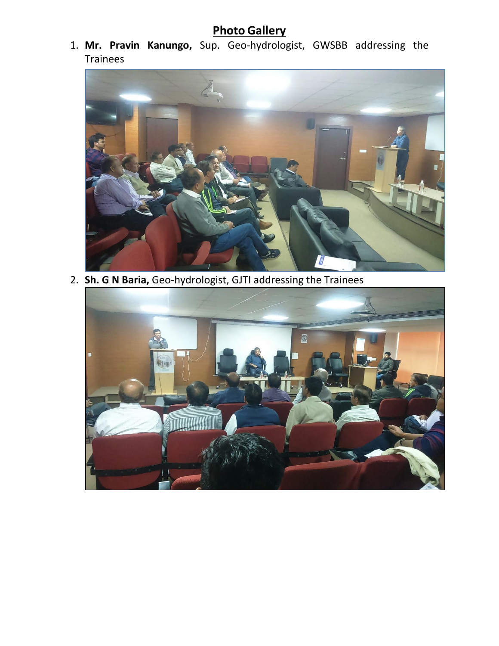## **Photo Gallery**

1. **Mr. Pravin Kanungo,** Sup. Geo-hydrologist, GWSBB addressing the Trainees



2. **Sh. G N Baria,** Geo-hydrologist, GJTI addressing the Trainees